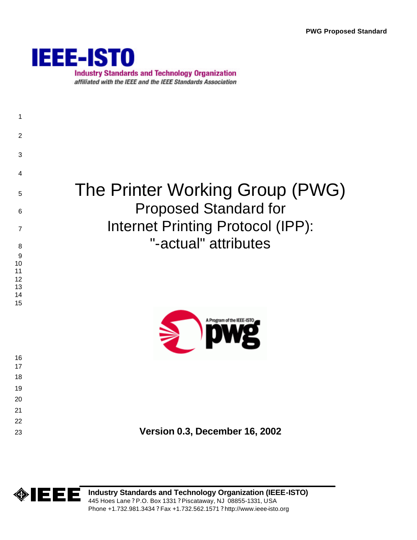





**Industry Standards and Technology Organization (IEEE-ISTO)** 445 Hoes Lane ? P.O. Box 1331 ? Piscataway, NJ 08855-1331, USA Phone +1.732.981.3434 ? Fax +1.732.562.1571 ? http://www.ieee-isto.org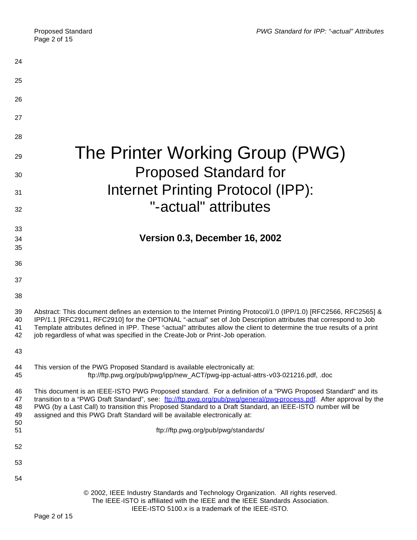| 24                               |                                                                                                                                                                                                                                                                                                                                                                                                                                                                      |
|----------------------------------|----------------------------------------------------------------------------------------------------------------------------------------------------------------------------------------------------------------------------------------------------------------------------------------------------------------------------------------------------------------------------------------------------------------------------------------------------------------------|
| 25                               |                                                                                                                                                                                                                                                                                                                                                                                                                                                                      |
| 26                               |                                                                                                                                                                                                                                                                                                                                                                                                                                                                      |
| 27                               |                                                                                                                                                                                                                                                                                                                                                                                                                                                                      |
| 28                               |                                                                                                                                                                                                                                                                                                                                                                                                                                                                      |
| 29                               | The Printer Working Group (PWG)                                                                                                                                                                                                                                                                                                                                                                                                                                      |
| 30                               | <b>Proposed Standard for</b>                                                                                                                                                                                                                                                                                                                                                                                                                                         |
|                                  |                                                                                                                                                                                                                                                                                                                                                                                                                                                                      |
| 31                               | Internet Printing Protocol (IPP):                                                                                                                                                                                                                                                                                                                                                                                                                                    |
| 32                               | "-actual" attributes                                                                                                                                                                                                                                                                                                                                                                                                                                                 |
| 33                               |                                                                                                                                                                                                                                                                                                                                                                                                                                                                      |
| 34                               | Version 0.3, December 16, 2002                                                                                                                                                                                                                                                                                                                                                                                                                                       |
| 35                               |                                                                                                                                                                                                                                                                                                                                                                                                                                                                      |
| 36                               |                                                                                                                                                                                                                                                                                                                                                                                                                                                                      |
| 37<br>38                         |                                                                                                                                                                                                                                                                                                                                                                                                                                                                      |
| 39<br>40<br>41<br>42             | Abstract: This document defines an extension to the Internet Printing Protocol/1.0 (IPP/1.0) [RFC2566, RFC2565] &<br>IPP/1.1 [RFC2911, RFC2910] for the OPTIONAL "-actual" set of Job Description attributes that correspond to Job<br>Template attributes defined in IPP. These "-actual" attributes allow the client to determine the true results of a print<br>job regardless of what was specified in the Create-Job or Print-Job operation.                    |
| 43                               |                                                                                                                                                                                                                                                                                                                                                                                                                                                                      |
| 44<br>45                         | This version of the PWG Proposed Standard is available electronically at:<br>ftp://ftp.pwg.org/pub/pwg/ipp/new_ACT/pwg-ipp-actual-attrs-v03-021216.pdf, .doc                                                                                                                                                                                                                                                                                                         |
| 46<br>47<br>48<br>49<br>50<br>51 | This document is an IEEE-ISTO PWG Proposed standard. For a definition of a "PWG Proposed Standard" and its<br>transition to a "PWG Draft Standard", see: ftp://ftp.pwg.org/pub/pwg/general/pwg-process.pdf. After approval by the<br>PWG (by a Last Call) to transition this Proposed Standard to a Draft Standard, an IEEE-ISTO number will be<br>assigned and this PWG Draft Standard will be available electronically at:<br>ftp://ftp.pwg.org/pub/pwg/standards/ |
| 52                               |                                                                                                                                                                                                                                                                                                                                                                                                                                                                      |
| 53                               |                                                                                                                                                                                                                                                                                                                                                                                                                                                                      |
| 54                               |                                                                                                                                                                                                                                                                                                                                                                                                                                                                      |
|                                  | © 2002, IEEE Industry Standards and Technology Organization. All rights reserved.<br>The IEEE-ISTO is affiliated with the IEEE and the IEEE Standards Association.<br>IEEE-ISTO 5100.x is a trademark of the IEEE-ISTO.                                                                                                                                                                                                                                              |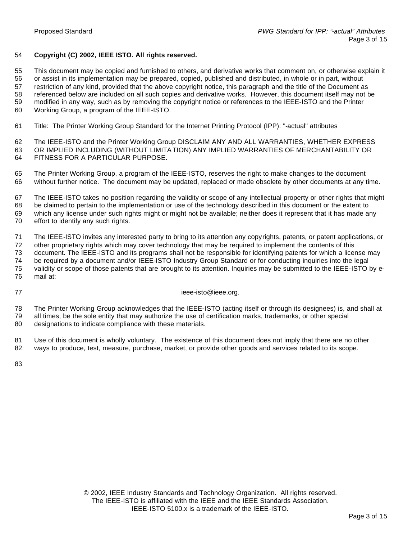#### **Copyright (C) 2002, IEEE ISTO. All rights reserved.**

 This document may be copied and furnished to others, and derivative works that comment on, or otherwise explain it or assist in its implementation may be prepared, copied, published and distributed, in whole or in part, without restriction of any kind, provided that the above copyright notice, this paragraph and the title of the Document as referenced below are included on all such copies and derivative works. However, this document itself may not be modified in any way, such as by removing the copyright notice or references to the IEEE-ISTO and the Printer Working Group, a program of the IEEE-ISTO.

Title: The Printer Working Group Standard for the Internet Printing Protocol (IPP): "-actual" attributes

 The IEEE-ISTO and the Printer Working Group DISCLAIM ANY AND ALL WARRANTIES, WHETHER EXPRESS OR IMPLIED INCLUDING (WITHOUT LIMITATION) ANY IMPLIED WARRANTIES OF MERCHANTABILITY OR FITNESS FOR A PARTICULAR PURPOSE.

 The Printer Working Group, a program of the IEEE-ISTO, reserves the right to make changes to the document without further notice. The document may be updated, replaced or made obsolete by other documents at any time.

 The IEEE-ISTO takes no position regarding the validity or scope of any intellectual property or other rights that might be claimed to pertain to the implementation or use of the technology described in this document or the extent to which any license under such rights might or might not be available; neither does it represent that it has made any effort to identify any such rights.

The IEEE-ISTO invites any interested party to bring to its attention any copyrights, patents, or patent applications, or

other proprietary rights which may cover technology that may be required to implement the contents of this

 document. The IEEE-ISTO and its programs shall not be responsible for identifying patents for which a license may be required by a document and/or IEEE-ISTO Industry Group Standard or for conducting inquiries into the legal

- validity or scope of those patents that are brought to its attention. Inquiries may be submitted to the IEEE-ISTO by e-mail at:
- 

#### 77 ieee-isto@ieee.org.

 The Printer Working Group acknowledges that the IEEE-ISTO (acting itself or through its designees) is, and shall at all times, be the sole entity that may authorize the use of certification marks, trademarks, or other special designations to indicate compliance with these materials.

 Use of this document is wholly voluntary. The existence of this document does not imply that there are no other ways to produce, test, measure, purchase, market, or provide other goods and services related to its scope.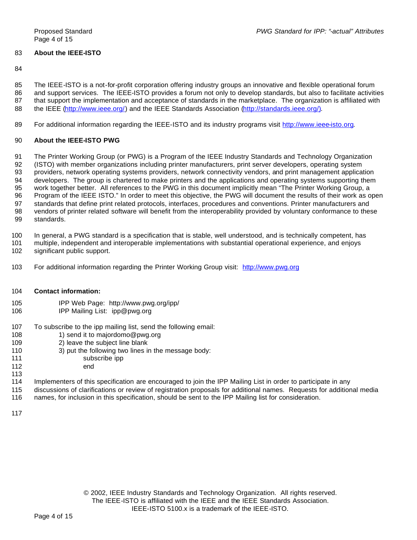#### **About the IEEE-ISTO**

 The IEEE-ISTO is a not-for-profit corporation offering industry groups an innovative and flexible operational forum 86 and support services. The IEEE-ISTO provides a forum not only to develop standards, but also to facilitate activities 87 that support the implementation and acceptance of standards in the marketplace. The organization is affiliated with 88 the IEEE (http://www.ieee.org/) and the IEEE Standards Association (http://standards.ieee.org/).

For additional information regarding the IEEE-ISTO and its industry programs visit http://www.ieee-isto.org.

#### **About the IEEE-ISTO PWG**

 The Printer Working Group (or PWG) is a Program of the IEEE Industry Standards and Technology Organization (ISTO) with member organizations including printer manufacturers, print server developers, operating system providers, network operating systems providers, network connectivity vendors, and print management application developers. The group is chartered to make printers and the applications and operating systems supporting them work together better. All references to the PWG in this document implicitly mean "The Printer Working Group, a Program of the IEEE ISTO." In order to meet this objective, the PWG will document the results of their work as open standards that define print related protocols, interfaces, procedures and conventions. Printer manufacturers and vendors of printer related software will benefit from the interoperability provided by voluntary conformance to these standards.

In general, a PWG standard is a specification that is stable, well understood, and is technically competent, has

- multiple, independent and interoperable implementations with substantial operational experience, and enjoys significant public support.
- For additional information regarding the Printer Working Group visit: http://www.pwg.org

#### **Contact information:**

- IPP Web Page: http://www.pwg.org/ipp/
- IPP Mailing List: ipp@pwg.org
- To subscribe to the ipp mailing list, send the following email:
- 108 1) send it to majordomo@pwg.org
- 2) leave the subject line blank
- 110 3) put the following two lines in the message body:
- 111 subscribe ipp
- end
- Implementers of this specification are encouraged to join the IPP Mailing List in order to participate in any
- discussions of clarifications or review of registration proposals for additional names. Requests for additional media
- names, for inclusion in this specification, should be sent to the IPP Mailing list for consideration.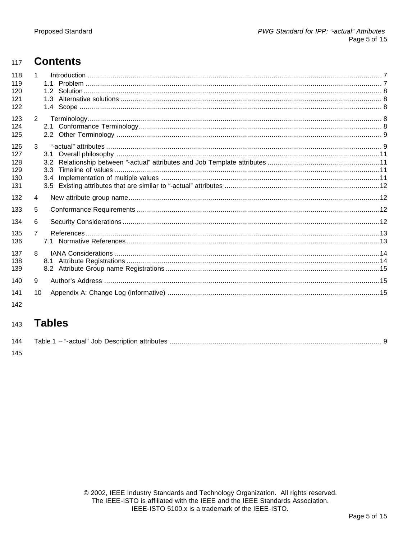#### **Contents** 117

|                | 1.2 |           |
|----------------|-----|-----------|
|                |     |           |
|                | 1.4 |           |
| $\mathbf{2}$   |     |           |
|                |     |           |
|                |     |           |
| 3              |     |           |
|                | 3.1 |           |
|                | 3.2 |           |
|                | 3.3 |           |
|                | 3.4 |           |
|                |     |           |
| 4              |     |           |
| 5              |     |           |
| 6              |     |           |
| $\overline{7}$ |     |           |
|                |     |           |
| 8              |     |           |
|                | 8.1 |           |
|                |     |           |
| 9              |     |           |
|                |     |           |
|                |     |           |
|                |     | 3.5<br>10 |

#### **Tables** 143

| 144 | - "-actual" Job Description a'<br>Table |  |  |
|-----|-----------------------------------------|--|--|
|-----|-----------------------------------------|--|--|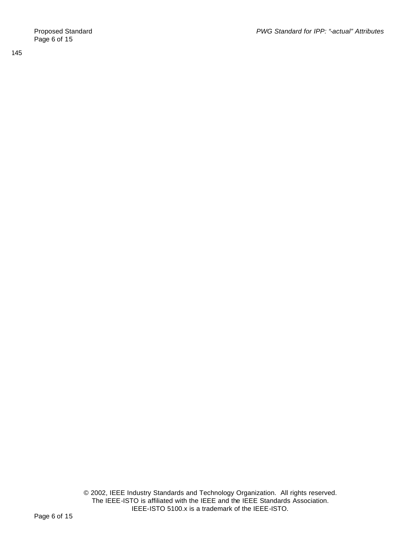Page 6 of 15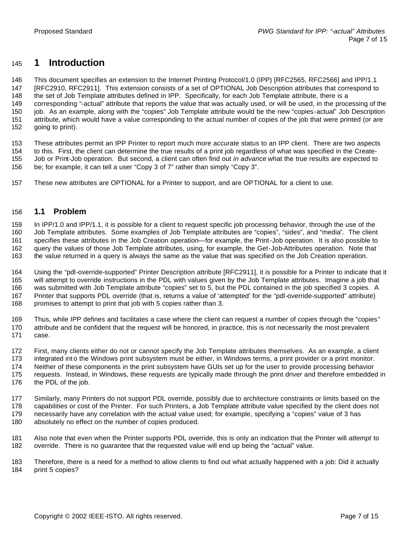## **1 Introduction**

 This document specifies an extension to the Internet Printing Protocol/1.0 (IPP) [RFC2565, RFC2566] and IPP/1.1 [RFC2910, RFC2911]. This extension consists of a set of OPTIONAL Job Description attributes that correspond to the set of Job Template attributes defined in IPP. Specifically, for each Job Template attribute, there is a corresponding "-actual" attribute that reports the value that was actually used, or will be used, in the processing of the job. As an example, along with the "copies" Job Template attribute would be the new "copies-actual" Job Description attribute, which would have a value corresponding to the actual number of copies of the job that were printed (or are going to print).

 These attributes permit an IPP Printer to report much more accurate status to an IPP client. There are two aspects to this. First, the client can determine the true results of a print job regardless of what was specified in the Create- Job or Print-Job operation. But second, a client can often find out *in advance* what the true results are expected to be; for example, it can tell a user "Copy 3 of 7" rather than simply "Copy 3".

These new attributes are OPTIONAL for a Printer to support, and are OPTIONAL for a client to use.

#### **1.1 Problem**

 In IPP/1.0 and IPP/1.1, it is possible for a client to request specific job processing behavior, through the use of the Job Template attributes. Some examples of Job Template attributes are "copies", "sides", and "media". The client specifies these attributes in the Job Creation operation—for example, the Print-Job operation. It is also possible to query the values of those Job Template attributes, using, for example, the Get-Job-Attributes operation. Note that the value returned in a query is always the same as the value that was specified on the Job Creation operation.

 Using the "pdl-override-supported" Printer Description attribute [RFC2911], it is possible for a Printer to indicate that it will attempt to override instructions in the PDL with values given by the Job Template attributes. Imagine a job that was submitted with Job Template attribute "copies" set to 5, but the PDL contained in the job specified 3 copies. A Printer that supports PDL override (that is, returns a value of 'attempted' for the "pdl-override-supported" attribute) promises to attempt to print that job with 5 copies rather than 3.

 Thus, while IPP defines and facilitates a case where the client can request a number of copies through the "copies" attribute and be confident that the request will be honored, in practice, this is not necessarily the most prevalent case.

 First, many clients either do not or cannot specify the Job Template attributes themselves. As an example, a client integrated int o the Windows print subsystem must be either, in Windows terms, a print provider or a print monitor. Neither of these components in the print subsystem have GUIs set up for the user to provide processing behavior requests. Instead, in Windows, these requests are typically made through the print driver and therefore embedded in the PDL of the job.

 Similarly, many Printers do not support PDL override, possibly due to architecture constraints or limits based on the capabilities or cost of the Printer. For such Printers, a Job Template attribute value specified by the client does not necessarily have any correlation with the actual value used; for example, specifying a "copies" value of 3 has absolutely no effect on the number of copies produced.

 Also note that even when the Printer supports PDL override, this is only an indication that the Printer will *attempt* to override. There is no guarantee that the requested value will end up being the "actual" value.

 Therefore, there is a need for a method to allow clients to find out what actually happened with a job: Did it actually print 5 copies?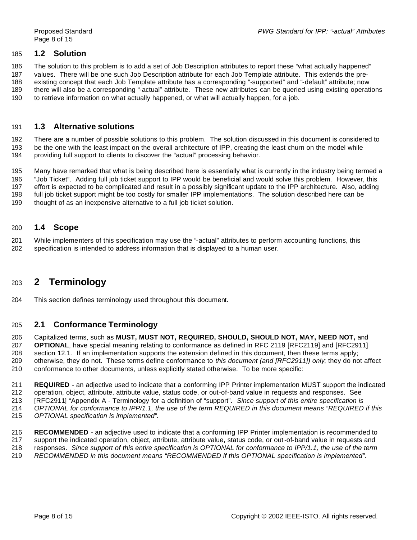Page 8 of 15

#### **1.2 Solution**

 The solution to this problem is to add a set of Job Description attributes to report these "what actually happened" values. There will be one such Job Description attribute for each Job Template attribute. This extends the pre- existing concept that each Job Template attribute has a corresponding "-supported" and "-default" attribute; now there will also be a corresponding "-actual" attribute. These new attributes can be queried using existing operations to retrieve information on what actually happened, or what will actually happen, for a job.

#### **1.3 Alternative solutions**

 There are a number of possible solutions to this problem. The solution discussed in this document is considered to be the one with the least impact on the overall architecture of IPP, creating the least churn on the model while providing full support to clients to discover the "actual" processing behavior.

 Many have remarked that what is being described here is essentially what is currently in the industry being termed a "Job Ticket". Adding full job ticket support to IPP would be beneficial and would solve this problem. However, this effort is expected to be complicated and result in a possibly significant update to the IPP architecture. Also, adding full job ticket support might be too costly for smaller IPP implementations. The solution described here can be thought of as an inexpensive alternative to a full job ticket solution.

#### **1.4 Scope**

 While implementers of this specification may use the "-actual" attributes to perform accounting functions, this specification is intended to address information that is displayed to a human user.

# **2 Terminology**

This section defines terminology used throughout this document.

#### **2.1 Conformance Terminology**

 Capitalized terms, such as **MUST, MUST NOT, REQUIRED, SHOULD, SHOULD NOT, MAY, NEED NOT,** and **OPTIONAL**, have special meaning relating to conformance as defined in RFC 2119 [RFC2119] and [RFC2911] section 12.1. If an implementation supports the extension defined in this document, then these terms apply; otherwise, they do not. These terms define conformance to *this document (and [RFC2911]) only*; they do not affect conformance to other documents, unless explicitly stated otherwise. To be more specific:

 **REQUIRED** - an adjective used to indicate that a conforming IPP Printer implementation MUST support the indicated operation, object, attribute, attribute value, status code, or out-of-band value in requests and responses. See [RFC2911] "Appendix A - Terminology for a definition of "support". *Since support of this entire specification is OPTIONAL for conformance to IPP/1.1, the use of the term REQUIRED in this document means "REQUIRED if this* 

*OPTIONAL specification is implemented".*

 **RECOMMENDED** - an adjective used to indicate that a conforming IPP Printer implementation is recommended to support the indicated operation, object, attribute, attribute value, status code, or out-of-band value in requests and responses. *Since support of this entire specification is OPTIONAL for conformance to IPP/1.1, the use of the term* 

*RECOMMENDED in this document means "RECOMMENDED if this OPTIONAL specification is implemented".*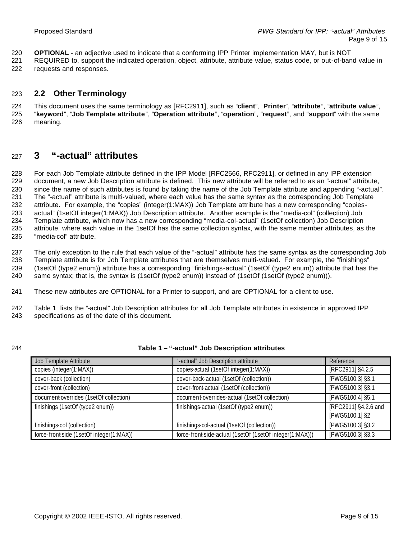- **OPTIONAL**  an adjective used to indicate that a conforming IPP Printer implementation MAY, but is NOT
- REQUIRED to, support the indicated operation, object, attribute, attribute value, status code, or out-of-band value in requests and responses.

#### **2.2 Other Terminology**

 This document uses the same terminology as [RFC2911], such as "**client**", "**Printer**", "**attribute**", "**attribute value**", "**keyword**", "**Job Template attribute**", "**Operation attribute**", "**operation**", "**request**", and "**support**" with the same meaning.

## **3 "-actual" attributes**

 For each Job Template attribute defined in the IPP Model [RFC2566, RFC2911], or defined in any IPP extension document, a new Job Description attribute is defined. This new attribute will be referred to as an "-actual" attribute, since the name of such attributes is found by taking the name of the Job Template attribute and appending "-actual". The "-actual" attribute is multi-valued, where each value has the same syntax as the corresponding Job Template attribute. For example, the "copies" (integer(1:MAX)) Job Template attribute has a new corresponding "copies- actual" (1setOf integer(1:MAX)) Job Description attribute. Another example is the "media-col" (collection) Job Template attribute, which now has a new corresponding "media-col-actual" (1setOf collection) Job Description attribute, where each value in the 1setOf has the same collection syntax, with the same member attributes, as the "media-col" attribute.

 The only exception to the rule that each value of the "-actual" attribute has the same syntax as the corresponding Job Template attribute is for Job Template attributes that are themselves multi-valued. For example, the "finishings" (1setOf (type2 enum)) attribute has a corresponding "finishings-actual" (1setOf (type2 enum)) attribute that has the same syntax; that is, the syntax is (1setOf (type2 enum)) instead of (1setOf (1setOf (type2 enum))).

These new attributes are OPTIONAL for a Printer to support, and are OPTIONAL for a client to use.

 Table 1 lists the "-actual" Job Description attributes for all Job Template attributes in existence in approved IPP specifications as of the date of this document.

#### **Table 1 – "-actual" Job Description attributes**

| Job Template Attribute                   | "-actual" Job Description attribute                      | Reference            |
|------------------------------------------|----------------------------------------------------------|----------------------|
| copies (integer(1:MAX))                  | copies-actual (1setOf integer(1:MAX))                    | [RFC2911] §4.2.5     |
| cover-back (collection)                  | cover-back-actual (1setOf (collection))                  | [PWG5100.3] §3.1     |
| cover-front (collection)                 | cover-front-actual (1setOf (collection))                 | [PWG5100.3] §3.1     |
| document-overrides (1setOf collection)   | document-overrides-actual (1setOf collection)            | [PWG5100.4] §5.1     |
| finishings (1setOf (type2 enum))         | finishings-actual (1setOf (type2 enum))                  | [RFC2911] §4.2.6 and |
|                                          |                                                          | [PWG5100.1] §2       |
| finishings-col (collection)              | finishings-col-actual (1setOf (collection))              | [PWG5100.3] §3.2     |
| force-front-side (1setOf integer(1:MAX)) | force-front-side-actual (1setOf (1setOf integer(1:MAX))) | [PWG5100.3] §3.3     |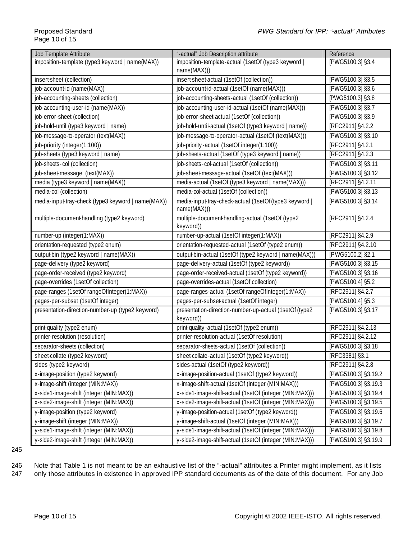| <b>Job Template Attribute</b>                      | "-actual" Job Description attribute                                   | Reference           |
|----------------------------------------------------|-----------------------------------------------------------------------|---------------------|
| imposition-template (type3 keyword   name(MAX))    | imposition-template-actual (1setOf (type3 keyword                     | [PWG5100.3] §3.4    |
|                                                    | name(MAX))                                                            |                     |
| insert-sheet (collection)                          | insert-sheet-actual (1setOf (collection))                             | [PWG5100.3] §3.5    |
| job-account-id (name(MAX))                         | job-account-id-actual (1setOf (name(MAX)))                            | [PWG5100.3] §3.6    |
| job-accounting-sheets (collection)                 | job-accounting-sheets-actual (1setOf (collection))                    | [PWG5100.3] §3.8    |
| job-accounting-user-id (name(MAX))                 | job-accounting-user-id-actual (1setOf (name(MAX)))                    | [PWG5100.3] §3.7    |
| job-error-sheet (collection)                       | job-error-sheet-actual (1setOf (collection))                          | [PWG5100.3] §3.9    |
| job-hold-until (type3 keyword   name)              | job-hold-until-actual (1setOf (type3 keyword   name))                 | [RFC2911] §4.2.2    |
| job-message-to-operator (text(MAX))                | job-message-to-operator-actual (1setOf (text(MAX)))                   | [PWG5100.3] §3.10   |
| job-priority (integer(1:100))                      | job-priority-actual (1setOf integer(1:100))                           | [RFC2911] §4.2.1    |
| job-sheets (type3 keyword   name)                  | job-sheets-actual (1setOf (type3 keyword   name))                     | [RFC2911] §4.2.3    |
| job-sheets-col (collection)                        | job-sheets-col-actual (1setOf (collection))                           | [PWG5100.3] §3.11   |
| job-sheet-message (text(MAX))                      | job-sheet-message-actual (1setOf (text(MAX)))                         | [PWG5100.3] §3.12   |
| media (type3 keyword   name(MAX))                  | media-actual (1setOf (type3 keyword   name(MAX)))                     | [RFC2911] §4.2.11   |
| media-col (collection)                             | media-col-actual (1setOf (collection))                                | [PWG5100.3] §3.13   |
| media-input-tray-check (type3 keyword   name(MAX)) | media-input tray-check-actual (1setOf (type3 keyword  <br>name(MAX))) | [PWG5100.3] §3.14   |
| multiple-document-handling (type2 keyword)         | multiple-document-handling-actual (1setOf (type2<br>keyword))         | [RFC2911] §4.2.4    |
| number-up (integer(1:MAX))                         | number-up-actual (1setOf integer(1:MAX))                              | [RFC2911] §4.2.9    |
| orientation-requested (type2 enum)                 | orientation-requested-actual (1setOf (type2 enum))                    | [RFC2911] §4.2.10   |
| output-bin (type2 keyword   name(MAX))             | output-bin-actual (1setOf (type2 keyword   name(MAX)))                | [PWG5100.2] §2.1    |
| page-delivery (type2 keyword)                      | page-delivery-actual (1setOf (type2 keyword))                         | [PWG5100.3] §3.15   |
| page-order-received (type2 keyword)                | page-order-received-actual (1setOf (type2 keyword))                   | [PWG5100.3] §3.16   |
| page-overrides (1setOf collection)                 | page-overrides-actual (1setOf collection)                             | [PWG5100.4] §5.2    |
| page-ranges (1setOf rangeOfInteger(1:MAX))         | page-ranges-actual (1setOf rangeOfInteger(1:MAX))                     | [RFC2911] §4.2.7    |
| pages-per-subset (1setOf integer)                  | pages-per-subset-actual (1setOf integer)                              | [PWG5100.4] §5.3    |
| presentation-direction-number-up (type2 keyword)   | presentation-direction-number-up-actual (1setOf (type2<br>keyword))   | [PWG5100.3] §3.17   |
| print-quality (type2 enum)                         | print-quality-actual (1setOf (type2 enum))                            | [RFC2911] §4.2.13   |
| printer-resolution (resolution)                    | printer-resolution-actual (1setOf resolution)                         | [RFC2911] §4.2.12   |
| separator-sheets (collection)                      | separator-sheets-actual (1setOf (collection))                         | [PWG5100.3] §3.18   |
| sheet-collate (type2 keyword)                      | sheet-collate-actual (1setOf (type2 keyword))                         | [RFC3381] §3.1      |
| sides (type2 keyword)                              | sides-actual (1setOf (type2 keyword))                                 | [RFC2911] §4.2.8    |
| x-image-position (type2 keyword)                   | x-image-position-actual (1setOf (type2 keyword))                      | [PWG5100.3] §3.19.2 |
| x-image-shift (integer (MIN:MAX))                  | x-image-shift-actual (1setOf (integer (MIN:MAX)))                     | [PWG5100.3] §3.19.3 |
| x-side1-image-shift (integer (MIN:MAX))            | x-side1-image-shift-actual (1setOf (integer (MIN:MAX)))               | [PWG5100.3] §3.19.4 |
| x-side2-image-shift (integer (MIN:MAX))            | x-side2-image-shift-actual (1setOf (integer (MIN:MAX)))               | [PWG5100.3] §3.19.5 |
| y-image-position (type2 keyword)                   | y-image-position-actual (1setOf (type2 keyword))                      | [PWG5100.3] §3.19.6 |
| y-image-shift (integer (MIN:MAX))                  | y-image-shift-actual (1setOf (integer (MIN:MAX)))                     | [PWG5100.3] §3.19.7 |
| y-side1-image-shift (integer (MIN:MAX))            | y-side1-image-shift-actual (1setOf (integer (MIN:MAX)))               | [PWG5100.3] §3.19.8 |
| y-side2-image-shift (integer (MIN:MAX))            | y-side2-image-shift-actual (1setOf (integer (MIN:MAX)))               | [PWG5100.3] §3.19.9 |

245

246 Note that Table 1 is not meant to be an exhaustive list of the "-actual" attributes a Printer might implement, as it lists 247 only those attributes in existence in approved IPP standard documents as of the date of this document. For any Job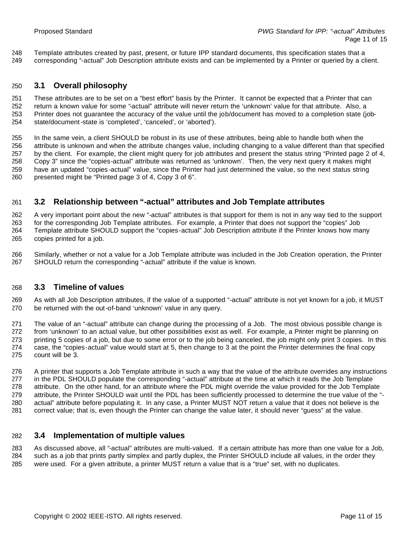Template attributes created by past, present, or future IPP standard documents, this specification states that a corresponding "-actual" Job Description attribute exists and can be implemented by a Printer or queried by a client.

#### **3.1 Overall philosophy**

 These attributes are to be set on a "best effort" basis by the Printer. It cannot be expected that a Printer that can return a known value for some "-actual" attribute will never return the 'unknown' value for that attribute. Also, a Printer does not guarantee the accuracy of the value until the job/document has moved to a completion state (job-state/document-state is 'completed', 'canceled', or 'aborted').

 In the same vein, a client SHOULD be robust in its use of these attributes, being able to handle both when the attribute is unknown and when the attribute changes value, including changing to a value different than that specified 257 by the client. For example, the client might query for job attributes and present the status string "Printed page 2 of 4, Copy 3" since the "copies-actual" attribute was returned as 'unknown'. Then, the very next query it makes might have an updated "copies -actual" value, since the Printer had just determined the value, so the next status string presented might be "Printed page 3 of 4, Copy 3 of 6".

#### **3.2 Relationship between "-actual" attributes and Job Template attributes**

 A very important point about the new "-actual" attributes is that support for them is not in any way tied to the support for the corresponding Job Template attributes. For example, a Printer that does not support the "copies" Job Template attribute SHOULD support the "copies-actual" Job Description attribute if the Printer knows how many copies printed for a job.

 Similarly, whether or not a value for a Job Template attribute was included in the Job Creation operation, the Printer 267 SHOULD return the corresponding "-actual" attribute if the value is known.

#### **3.3 Timeline of values**

 As with all Job Description attributes, if the value of a supported "-actual" attribute is not yet known for a job, it MUST be returned with the out-of-band 'unknown' value in any query.

 The value of an "-actual" attribute can change during the processing of a Job. The most obvious possible change is from 'unknown' to an actual value, but other possibilities exist as well. For example, a Printer might be planning on printing 5 copies of a job, but due to some error or to the job being canceled, the job might only print 3 copies. In this case, the "copies-actual" value would start at 5, then change to 3 at the point the Printer determines the final copy count will be 3.

 A printer that supports a Job Template attribute in such a way that the value of the attribute overrides any instructions in the PDL SHOULD populate the corresponding "-actual" attribute at the time at which it reads the Job Template attribute. On the other hand, for an attribute where the PDL might override the value provided for the Job Template attribute, the Printer SHOULD wait until the PDL has been sufficiently processed to determine the true value of the "- actual" attribute before populating it. In any case, a Printer MUST NOT return a value that it does not believe is the correct value; that is, even though the Printer can change the value later, it should never "guess" at the value.

#### **3.4 Implementation of multiple values**

 As discussed above, all "-actual" attributes are multi-valued. If a certain attribute has more than one value for a Job, such as a job that prints partly simplex and partly duplex, the Printer SHOULD include all values, in the order they were used. For a given attribute, a printer MUST return a value that is a "true" set, with no duplicates.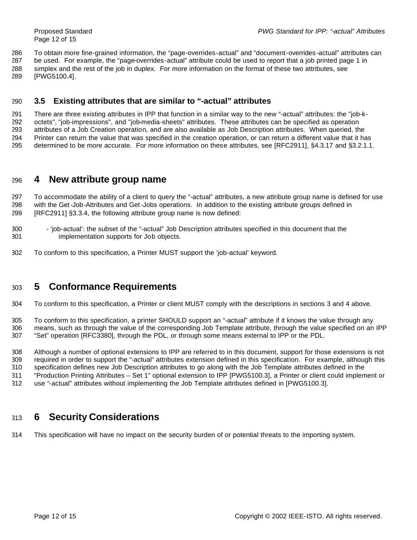Page 12 of 15

 To obtain more fine-grained information, the "page-overrides-actual" and "document-overrides -actual" attributes can be used. For example, the "page-overrides-actual" attribute could be used to report that a job printed page 1 in simplex and the rest of the job in duplex. For more information on the format of these two attributes, see [PWG5100.4].

#### **3.5 Existing attributes that are similar to "-actual" attributes**

 There are three existing attributes in IPP that function in a similar way to the new "-actual" attributes: the "job-k- octets", "job-impressions", and "job-media-sheets" attributes. These attributes can be specified as operation attributes of a Job Creation operation, and are also available as Job Description attributes. When queried, the Printer can return the value that was specified in the creation operation, or can return a different value that it has determined to be more accurate. For more information on these attributes, see [RFC2911], §4.3.17 and §3.2.1.1.

## **4 New attribute group name**

 To accommodate the ability of a client to query the "-actual" attributes, a new attribute group name is defined for use with the Get-Job-Attributes and Get-Jobs operations. In addition to the existing attribute groups defined in [RFC2911] §3.3.4, the following attribute group name is now defined:

- 300 'job-actual': the subset of the "-actual" Job Description attributes specified in this document that the implementation supports for Job objects.
- To conform to this specification, a Printer MUST support the 'job-actual' keyword.

## **5 Conformance Requirements**

To conform to this specification, a Printer or client MUST comply with the descriptions in sections 3 and 4 above.

 To conform to this specification, a printer SHOULD support an "-actual" attribute if it knows the value through any means, such as through the value of the corresponding Job Template attribute, through the value specified on an IPP "Set" operation [RFC3380], through the PDL, or through some means external to IPP or the PDL.

 Although a number of optional extensions to IPP are referred to in this document, support for those extensions is not required in order to support the "-actual" attributes extension defined in this specification. For example, although this specification defines new Job Description attributes to go along with the Job Template attributes defined in the "Production Printing Attributes – Set 1" optional extension to IPP [PWG5100.3], a Printer or client could implement or

use "-actual" attributes without implementing the Job Template attributes defined in [PWG5100.3].

## **6 Security Considerations**

This specification will have no impact on the security burden of or potential threats to the importing system.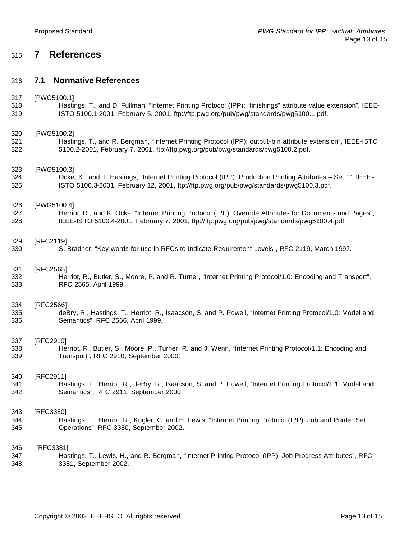## **7 References**

#### **7.1 Normative References**

 [PWG5100.1] Hastings, T., and D. Fullman, "Internet Printing Protocol (IPP): "finishings" attribute value extension", IEEE- ISTO 5100.1-2001, February 5, 2001, ftp://ftp.pwg.org/pub/pwg/standards/pwg5100.1.pdf. [PWG5100.2] Hastings, T., and R. Bergman, "Internet Printing Protocol (IPP): output-bin attribute extension", IEEE-ISTO 5100.2-2001, February 7, 2001, ftp://ftp.pwg.org/pub/pwg/standards/pwg5100.2.pdf. [PWG5100.3] Ocke, K., and T. Hastings, "Internet Printing Protocol (IPP): Production Printing Attributes – Set 1", IEEE- ISTO 5100.3-2001, February 12, 2001, ftp://ftp.pwg.org/pub/pwg/standards/pwg5100.3.pdf. [PWG5100.4] Herriot, R., and K. Ocke, "Internet Printing Protocol (IPP): Override Attributes for Documents and Pages", IEEE-ISTO 5100.4-2001, February 7, 2001, ftp://ftp.pwg.org/pub/pwg/standards/pwg5100.4.pdf. 329 [RFC2119] S. Bradner, "Key words for use in RFCs to Indicate Requirement Levels", RFC 2119, March 1997. [RFC2565] Herriot, R., Butler, S., Moore, P. and R. Turner, "Internet Printing Protocol/1.0: Encoding and Transport", RFC 2565, April 1999. [RFC2566] deBry, R., Hastings, T., Herriot, R., Isaacson, S. and P. Powell, "Internet Printing Protocol/1.0: Model and Semantics", RFC 2566, April 1999. [RFC2910] 338 Herriot, R., Butler, S., Moore, P., Turner, R. and J. Wenn, "Internet Printing Protocol/1.1: Encoding and Transport", RFC 2910, September 2000. [RFC2911] Hastings, T., Herriot, R., deBry, R., Isaacson, S. and P. Powell, "Internet Printing Protocol/1.1: Model and Semantics", RFC 2911, September 2000. [RFC3380] Hastings, T., Herriot, R., Kugler, C. and H. Lewis, "Internet Printing Protocol (IPP): Job and Printer Set Operations", RFC 3380, September 2002. 346 [RFC3381] Hastings, T., Lewis, H., and R. Bergman, "Internet Printing Protocol (IPP): Job Progress Attributes", RFC 3381, September 2002.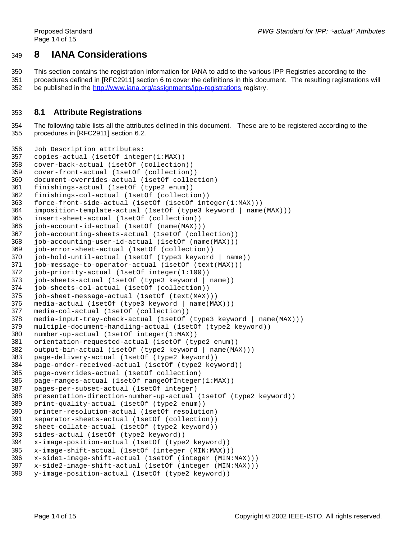## **8 IANA Considerations**

 This section contains the registration information for IANA to add to the various IPP Registries according to the procedures defined in [RFC2911] section 6 to cover the definitions in this document. The resulting registrations will be published in the http://www.iana.org/assignments/ipp-registrations registry.

#### **8.1 Attribute Registrations**

 The following table lists all the attributes defined in this document. These are to be registered according to the procedures in [RFC2911] section 6.2.

```
356 Job Description attributes:
357 copies-actual (1setOf integer(1:MAX))<br>358 cover-back-actual (1setOf (collection
     358 cover-back-actual (1setOf (collection))
359 cover-front-actual (1setOf (collection))
360 document-overrides-actual (1setOf collection)
361 finishings-actual (1setOf (type2 enum))
362 finishings-col-actual (1setOf (collection))
363 force-front-side-actual (1setOf (1setOf integer(1:MAX)))
364 imposition-template-actual (1setOf (type3 keyword | name(MAX)))
365 insert-sheet-actual (1setOf (collection))
366 job-account-id-actual (1setOf (name(MAX)))
367 job-accounting-sheets-actual (1setOf (collection))
368 job-accounting-user-id-actual (1setOf (name(MAX)))
369 job-error-sheet-actual (1setOf (collection))
370 job-hold-until-actual (1setOf (type3 keyword | name))
371 job-message-to-operator-actual (1setOf (text(MAX)))
372 job-priority-actual (1setOf integer(1:100))
373 job-sheets-actual (1setOf (type3 keyword | name))
374 job-sheets-col-actual (1setOf (collection))
375 job-sheet-message-actual (1setOf (text(MAX)))
376 media-actual (1setOf (type3 keyword | name(MAX)))
377 media-col-actual (1setOf (collection))
378 media-input-tray-check-actual (1setOf (type3 keyword | name(MAX)))<br>379 multiple-document-handling-actual (1setOf (type2 keyword))
     multiple-document-handling-actual (1setOf (type2 keyword))
380 number-up-actual (1setOf integer(1:MAX))
381 orientation-requested-actual (1setOf (type2 enum))
382 output-bin-actual (1setOf (type2 keyword | name(MAX)))<br>383 page-delivery-actual (1setOf (type2 keyword))
     page-delivery-actual (1setOf (type2 keyword))
384 page-order-received-actual (1setOf (type2 keyword))
385 page-overrides-actual (1setOf collection)
386 page-ranges-actual (1setOf rangeOfInteger(1:MAX))
387 pages-per-subset-actual (1setOf integer)
388 presentation-direction-number-up-actual (1setOf (type2 keyword))
389 print-quality-actual (1setOf (type2 enum))
390 printer-resolution-actual (1setOf resolution)
391 separator-sheets-actual (1setOf (collection))
392 sheet-collate-actual (1setOf (type2 keyword))<br>393 sides-actual (1setOf (type2 keyword))
     sides-actual (1setOf (type2 keyword))
394 x-image-position-actual (1setOf (type2 keyword))
395 x-image-shift-actual (1setOf (integer (MIN:MAX)))
     396 x-side1-image-shift-actual (1setOf (integer (MIN:MAX)))
397 x-side2-image-shift-actual (1setOf (integer (MIN:MAX)))
398 y-image-position-actual (1setOf (type2 keyword))
```